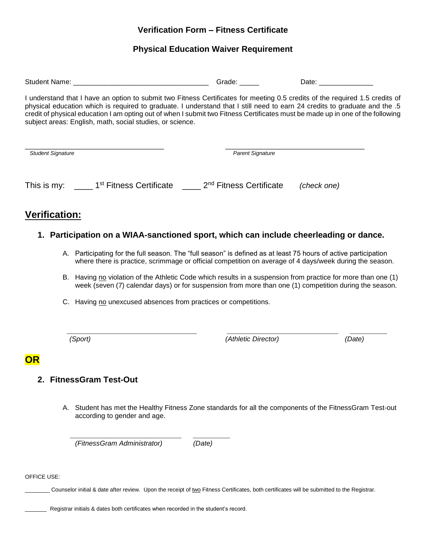# **Verification Form – Fitness Certificate**

# **Physical Education Waiver Requirement**

|                                                                                                                                                                                                                                                                                                                                                                                                                                                           |                                                                                                                                                                                                                            | Grade: $\frac{1}{2}$    | Date: ________________ |  |
|-----------------------------------------------------------------------------------------------------------------------------------------------------------------------------------------------------------------------------------------------------------------------------------------------------------------------------------------------------------------------------------------------------------------------------------------------------------|----------------------------------------------------------------------------------------------------------------------------------------------------------------------------------------------------------------------------|-------------------------|------------------------|--|
| I understand that I have an option to submit two Fitness Certificates for meeting 0.5 credits of the required 1.5 credits of<br>physical education which is required to graduate. I understand that I still need to earn 24 credits to graduate and the .5<br>credit of physical education I am opting out of when I submit two Fitness Certificates must be made up in one of the following<br>subject areas: English, math, social studies, or science. |                                                                                                                                                                                                                            |                         |                        |  |
| <b>Student Signature</b>                                                                                                                                                                                                                                                                                                                                                                                                                                  |                                                                                                                                                                                                                            | <b>Parent Signature</b> |                        |  |
|                                                                                                                                                                                                                                                                                                                                                                                                                                                           | This is my: ______ 1 <sup>st</sup> Fitness Certificate ______ 2 <sup>nd</sup> Fitness Certificate                                                                                                                          |                         | (check one)            |  |
| Verification:                                                                                                                                                                                                                                                                                                                                                                                                                                             |                                                                                                                                                                                                                            |                         |                        |  |
|                                                                                                                                                                                                                                                                                                                                                                                                                                                           | 1. Participation on a WIAA-sanctioned sport, which can include cheerleading or dance.                                                                                                                                      |                         |                        |  |
|                                                                                                                                                                                                                                                                                                                                                                                                                                                           | A. Participating for the full season. The "full season" is defined as at least 75 hours of active participation<br>where there is practice, scrimmage or official competition on average of 4 days/week during the season. |                         |                        |  |
|                                                                                                                                                                                                                                                                                                                                                                                                                                                           | B. Having no violation of the Athletic Code which results in a suspension from practice for more than one (1)<br>week (seven (7) calendar days) or for suspension from more than one (1) competition during the season.    |                         |                        |  |
|                                                                                                                                                                                                                                                                                                                                                                                                                                                           | C. Having no unexcused absences from practices or competitions.                                                                                                                                                            |                         |                        |  |
|                                                                                                                                                                                                                                                                                                                                                                                                                                                           | (Sport)                                                                                                                                                                                                                    | (Athletic Director)     | (Date)                 |  |
| <b>OR</b>                                                                                                                                                                                                                                                                                                                                                                                                                                                 |                                                                                                                                                                                                                            |                         |                        |  |
|                                                                                                                                                                                                                                                                                                                                                                                                                                                           | 2. FitnessGram Test-Out                                                                                                                                                                                                    |                         |                        |  |
|                                                                                                                                                                                                                                                                                                                                                                                                                                                           | A. Student has met the Healthy Fitness Zone standards for all the components of the FitnessGram Test-out<br>according to gender and age.                                                                                   |                         |                        |  |
|                                                                                                                                                                                                                                                                                                                                                                                                                                                           | (FitnessGram Administrator)                                                                                                                                                                                                | (Date)                  |                        |  |

OFFICE USE:

Counselor initial & date after review. Upon the receipt of two Fitness Certificates, both certificates will be submitted to the Registrar.

Registrar initials & dates both certificates when recorded in the student's record.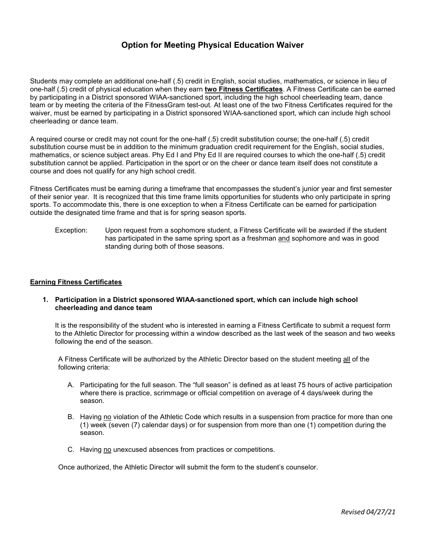### Option for Meeting Physical Education Waiver

Students may complete an additional one-half (.5) credit in English, social studies, mathematics, or science in lieu of one-half (.5) credit of physical education when they earn two Fitness Certificates. A Fitness Certificate can be earned by participating in a District sponsored WIAA-sanctioned sport, including the high school cheerleading team, dance team or by meeting the criteria of the FitnessGram test-out. At least one of the two Fitness Certificates required for the waiver, must be earned by participating in a District sponsored WIAA-sanctioned sport, which can include high school cheerleading or dance team.

A required course or credit may not count for the one-half (.5) credit substitution course; the one-half (.5) credit substitution course must be in addition to the minimum graduation credit requirement for the English, social studies, mathematics, or science subject areas. Phy Ed I and Phy Ed II are required courses to which the one-half (.5) credit substitution cannot be applied. Participation in the sport or on the cheer or dance team itself does not constitute a course and does not qualify for any high school credit.

Fitness Certificates must be earning during a timeframe that encompasses the student's junior year and first semester of their senior year. It is recognized that this time frame limits opportunities for students who only participate in spring sports. To accommodate this, there is one exception to when a Fitness Certificate can be earned for participation outside the designated time frame and that is for spring season sports.

Exception: Upon request from a sophomore student, a Fitness Certificate will be awarded if the student has participated in the same spring sport as a freshman and sophomore and was in good standing during both of those seasons.

### Earning Fitness Certificates

1. Participation in a District sponsored WIAA-sanctioned sport, which can include high school cheerleading and dance team

It is the responsibility of the student who is interested in earning a Fitness Certificate to submit a request form to the Athletic Director for processing within a window described as the last week of the season and two weeks following the end of the season.

A Fitness Certificate will be authorized by the Athletic Director based on the student meeting all of the following criteria:

- A. Participating for the full season. The "full season" is defined as at least 75 hours of active participation where there is practice, scrimmage or official competition on average of 4 days/week during the season.
- B. Having no violation of the Athletic Code which results in a suspension from practice for more than one (1) week (seven (7) calendar days) or for suspension from more than one (1) competition during the season.
- C. Having no unexcused absences from practices or competitions.

Once authorized, the Athletic Director will submit the form to the student's counselor.